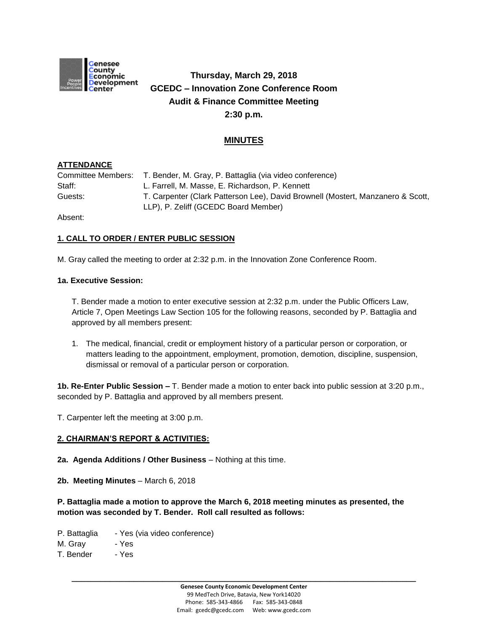

# **Thursday, March 29, 2018 GCEDC – Innovation Zone Conference Room Audit & Finance Committee Meeting 2:30 p.m.**

# **MINUTES**

# **ATTENDANCE**

Committee Members: T. Bender, M. Gray, P. Battaglia (via video conference) Staff: Castell, M. Masse, E. Richardson, P. Kennett Guests: T. Carpenter (Clark Patterson Lee), David Brownell (Mostert, Manzanero & Scott, LLP), P. Zeliff (GCEDC Board Member)

Absent:

# **1. CALL TO ORDER / ENTER PUBLIC SESSION**

M. Gray called the meeting to order at 2:32 p.m. in the Innovation Zone Conference Room.

## **1a. Executive Session:**

T. Bender made a motion to enter executive session at 2:32 p.m. under the Public Officers Law, Article 7, Open Meetings Law Section 105 for the following reasons, seconded by P. Battaglia and approved by all members present:

1. The medical, financial, credit or employment history of a particular person or corporation, or matters leading to the appointment, employment, promotion, demotion, discipline, suspension, dismissal or removal of a particular person or corporation.

**1b. Re-Enter Public Session –** T. Bender made a motion to enter back into public session at 3:20 p.m., seconded by P. Battaglia and approved by all members present.

T. Carpenter left the meeting at 3:00 p.m.

## **2. CHAIRMAN'S REPORT & ACTIVITIES:**

**2a. Agenda Additions / Other Business** – Nothing at this time.

**2b. Meeting Minutes** – March 6, 2018

**P. Battaglia made a motion to approve the March 6, 2018 meeting minutes as presented, the motion was seconded by T. Bender. Roll call resulted as follows:**

P. Battaglia - Yes (via video conference)

M. Gray - Yes

T. Bender - Yes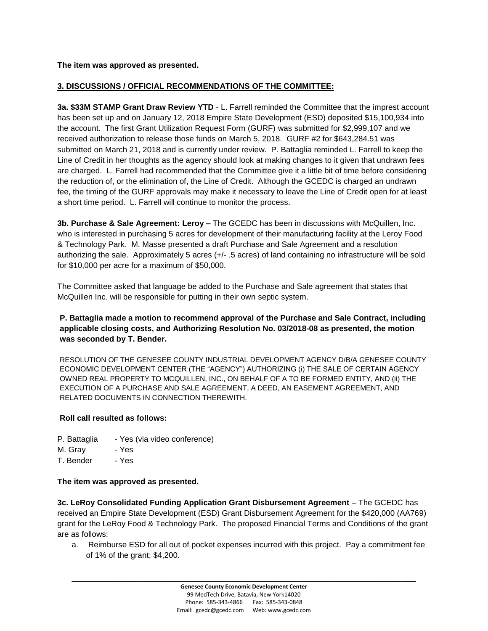**The item was approved as presented.**

# **3. DISCUSSIONS / OFFICIAL RECOMMENDATIONS OF THE COMMITTEE:**

**3a. \$33M STAMP Grant Draw Review YTD** - L. Farrell reminded the Committee that the imprest account has been set up and on January 12, 2018 Empire State Development (ESD) deposited \$15,100,934 into the account. The first Grant Utilization Request Form (GURF) was submitted for \$2,999,107 and we received authorization to release those funds on March 5, 2018. GURF #2 for \$643,284.51 was submitted on March 21, 2018 and is currently under review. P. Battaglia reminded L. Farrell to keep the Line of Credit in her thoughts as the agency should look at making changes to it given that undrawn fees are charged. L. Farrell had recommended that the Committee give it a little bit of time before considering the reduction of, or the elimination of, the Line of Credit. Although the GCEDC is charged an undrawn fee, the timing of the GURF approvals may make it necessary to leave the Line of Credit open for at least a short time period. L. Farrell will continue to monitor the process.

**3b. Purchase & Sale Agreement: Leroy –** The GCEDC has been in discussions with McQuillen, Inc. who is interested in purchasing 5 acres for development of their manufacturing facility at the Leroy Food & Technology Park. M. Masse presented a draft Purchase and Sale Agreement and a resolution authorizing the sale. Approximately 5 acres (+/- .5 acres) of land containing no infrastructure will be sold for \$10,000 per acre for a maximum of \$50,000.

The Committee asked that language be added to the Purchase and Sale agreement that states that McQuillen Inc. will be responsible for putting in their own septic system.

# **P. Battaglia made a motion to recommend approval of the Purchase and Sale Contract, including applicable closing costs, and Authorizing Resolution No. 03/2018-08 as presented, the motion was seconded by T. Bender.**

RESOLUTION OF THE GENESEE COUNTY INDUSTRIAL DEVELOPMENT AGENCY D/B/A GENESEE COUNTY ECONOMIC DEVELOPMENT CENTER (THE "AGENCY") AUTHORIZING (i) THE SALE OF CERTAIN AGENCY OWNED REAL PROPERTY TO MCQUILLEN, INC., ON BEHALF OF A TO BE FORMED ENTITY, AND (ii) THE EXECUTION OF A PURCHASE AND SALE AGREEMENT, A DEED, AN EASEMENT AGREEMENT, AND RELATED DOCUMENTS IN CONNECTION THEREWITH.

## **Roll call resulted as follows:**

- P. Battaglia Yes (via video conference)
- M. Gray Yes
- T. Bender Yes

## **The item was approved as presented.**

**3c. LeRoy Consolidated Funding Application Grant Disbursement Agreement** – The GCEDC has received an Empire State Development (ESD) Grant Disbursement Agreement for the \$420,000 (AA769) grant for the LeRoy Food & Technology Park. The proposed Financial Terms and Conditions of the grant are as follows:

a. Reimburse ESD for all out of pocket expenses incurred with this project. Pay a commitment fee of 1% of the grant; \$4,200.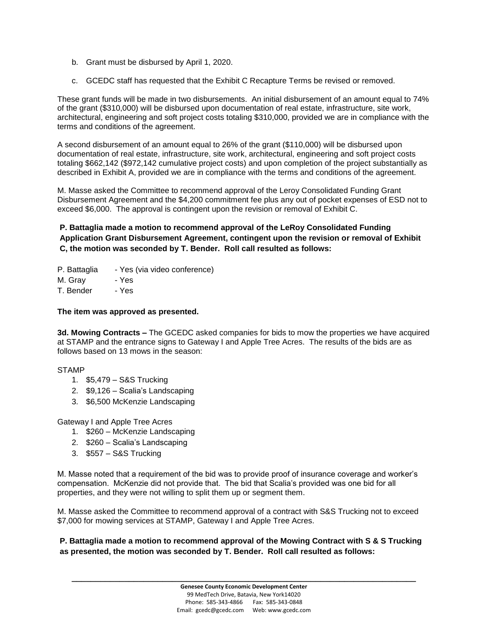- b. Grant must be disbursed by April 1, 2020.
- c. GCEDC staff has requested that the Exhibit C Recapture Terms be revised or removed.

These grant funds will be made in two disbursements. An initial disbursement of an amount equal to 74% of the grant (\$310,000) will be disbursed upon documentation of real estate, infrastructure, site work, architectural, engineering and soft project costs totaling \$310,000, provided we are in compliance with the terms and conditions of the agreement.

A second disbursement of an amount equal to 26% of the grant (\$110,000) will be disbursed upon documentation of real estate, infrastructure, site work, architectural, engineering and soft project costs totaling \$662,142 (\$972,142 cumulative project costs) and upon completion of the project substantially as described in Exhibit A, provided we are in compliance with the terms and conditions of the agreement.

M. Masse asked the Committee to recommend approval of the Leroy Consolidated Funding Grant Disbursement Agreement and the \$4,200 commitment fee plus any out of pocket expenses of ESD not to exceed \$6,000. The approval is contingent upon the revision or removal of Exhibit C.

**P. Battaglia made a motion to recommend approval of the LeRoy Consolidated Funding Application Grant Disbursement Agreement, contingent upon the revision or removal of Exhibit C, the motion was seconded by T. Bender. Roll call resulted as follows:**

- P. Battaglia Yes (via video conference)
- M. Gray Yes

T. Bender - Yes

#### **The item was approved as presented.**

**3d. Mowing Contracts –** The GCEDC asked companies for bids to mow the properties we have acquired at STAMP and the entrance signs to Gateway I and Apple Tree Acres. The results of the bids are as follows based on 13 mows in the season:

#### STAMP

- 1. \$5,479 S&S Trucking
- 2. \$9,126 Scalia's Landscaping
- 3. \$6,500 McKenzie Landscaping

Gateway I and Apple Tree Acres

- 1. \$260 McKenzie Landscaping
- 2. \$260 Scalia's Landscaping
- 3. \$557 S&S Trucking

M. Masse noted that a requirement of the bid was to provide proof of insurance coverage and worker's compensation. McKenzie did not provide that. The bid that Scalia's provided was one bid for all properties, and they were not willing to split them up or segment them.

M. Masse asked the Committee to recommend approval of a contract with S&S Trucking not to exceed \$7,000 for mowing services at STAMP, Gateway I and Apple Tree Acres.

**P. Battaglia made a motion to recommend approval of the Mowing Contract with S & S Trucking as presented, the motion was seconded by T. Bender. Roll call resulted as follows:**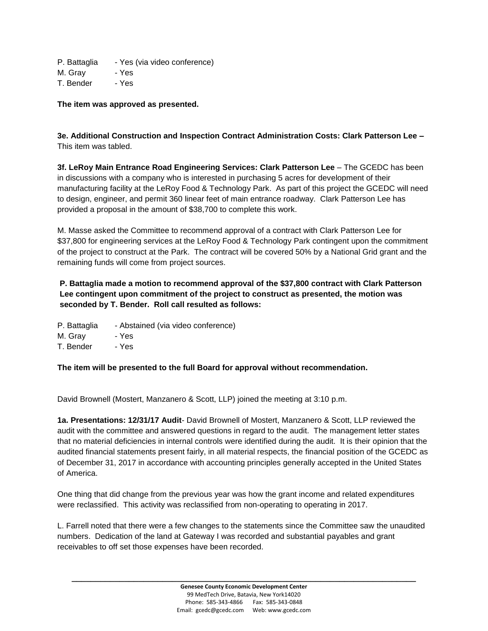P. Battaglia - Yes (via video conference)

M. Gray - Yes

T. Bender - Yes

#### **The item was approved as presented.**

**3e. Additional Construction and Inspection Contract Administration Costs: Clark Patterson Lee –** This item was tabled.

**3f. LeRoy Main Entrance Road Engineering Services: Clark Patterson Lee** – The GCEDC has been in discussions with a company who is interested in purchasing 5 acres for development of their manufacturing facility at the LeRoy Food & Technology Park. As part of this project the GCEDC will need to design, engineer, and permit 360 linear feet of main entrance roadway. Clark Patterson Lee has provided a proposal in the amount of \$38,700 to complete this work.

M. Masse asked the Committee to recommend approval of a contract with Clark Patterson Lee for \$37,800 for engineering services at the LeRoy Food & Technology Park contingent upon the commitment of the project to construct at the Park. The contract will be covered 50% by a National Grid grant and the remaining funds will come from project sources.

# **P. Battaglia made a motion to recommend approval of the \$37,800 contract with Clark Patterson Lee contingent upon commitment of the project to construct as presented, the motion was seconded by T. Bender. Roll call resulted as follows:**

P. Battaglia - Abstained (via video conference)

M. Gray - Yes

T. Bender - Yes

**The item will be presented to the full Board for approval without recommendation.**

David Brownell (Mostert, Manzanero & Scott, LLP) joined the meeting at 3:10 p.m.

**1a. Presentations: 12/31/17 Audit**- David Brownell of Mostert, Manzanero & Scott, LLP reviewed the audit with the committee and answered questions in regard to the audit. The management letter states that no material deficiencies in internal controls were identified during the audit. It is their opinion that the audited financial statements present fairly, in all material respects, the financial position of the GCEDC as of December 31, 2017 in accordance with accounting principles generally accepted in the United States of America.

One thing that did change from the previous year was how the grant income and related expenditures were reclassified. This activity was reclassified from non-operating to operating in 2017.

L. Farrell noted that there were a few changes to the statements since the Committee saw the unaudited numbers. Dedication of the land at Gateway I was recorded and substantial payables and grant receivables to off set those expenses have been recorded.